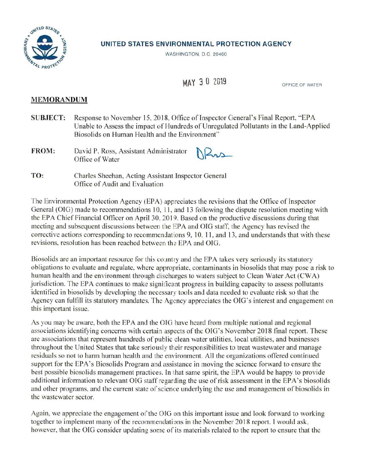

## **UNITED STATES ENVIRONMENTAL PROTECTION AGENCY**

WASHINGTON. D.C. 20460

**MAY 3 0 2019** OFFICE OF WATER

## **MEMORANDUM**

- **SUBJECT:**  Response to November 15. 2018, Office of Inspector General 's Final Report. "EPA Unable to Assess the impact of Hundreds of Unregulated Pollutants in the Land-Applied Biosolids on Human Health and the Environment''
- **FROM:** David P. Ross, Assistant Administrator Office of Water

**TO:**  Charles Sheehan, Acting Assistant Inspector General Office of Audit and Evaluation

The Environmental Protection Agency (EPA) appreciates the revisions that the Office of Inspector General (OIG) made to recommendations 10, 11, and 13 following the dispute resolution meeting with the EPA Chief Financial Officer on April 30, 2019. Based on the productive discussions during that meeting and subsequent discussions between the EPA and OIG staff, the Agency has revised the corrective actions corresponding to recommendations 9, 10, 11, and 13, and understands that with these revisions, resolution has been reached between the EPA and OIG.

Biosolids are an important resource for this country and the EPA takes very seriously its statutory obligations to evaluate and regulate. where appropriate, contaminants in biosolids that may pose a risk to human health and the environment through discharges to waters subject to Clean Water Act (CWA) jurisdiction. The EPA continues to make significant progress in building capacity to assess pollutants identified in biosolids by developing the necessary tools and data needed to evaluate risk so that the Agency can fulfill its statutory mandates. The Agency appreciates the OIG's interest and engagement on this important issue.

As you may be aware, both the EPA and the OIG have heard from multiple national and regional associations identifying concerns with certain aspects of the OIG's November 2018 final report. These are associations that represent hundreds of public clean water utilities. local utilities, and businesses throughout the United States that take seriously their responsibilities to treat wastewater and manage residuals so not to harm human health and the environment. All the organizations offered continued support for the EPA's Biosolids Program and assistance in moving the science forward to ensure the best possible biosolids management practices. In that same spirit. the EPA would be happy to provide additional information to relevant OIG staff regarding the use of risk assessment in the EPA's biosolids and other programs, and the current state of science underlying the use and management of biosolids in the wastewater sector.

Again, we appreciate the engagement of the OIG on this important issue and look forward to working together to implement many of the recommendations in the November 2018 report. I would ask, however, that the OIG consider updating some of its materials related to the report to ensure that the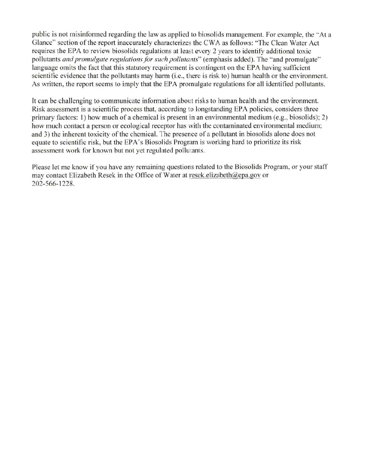public is not misinformed regarding the law as applied to biosolids management. For example, the "At a Glance" section of the report inaccurately characterizes the CWA as follows: "The Clean Water Act requires the EPA to review biosolids regulations at least every 2 years to identify additional toxic pollutants *and promulgate regulations for such pollutants*" (emphasis added). The "and promulgate" language omits the fact that this statutory requirement is contingent on the EPA having sufficient scientific evidence that the pollutants may harm (i.e., there is risk to) human health or the environment. As written, the report seems to imply that the EPA promulgate regulations for all identified pollutants.

It can be challenging to communicate information about risks to human health and the environment. Risk assessment is a scientific process that, according to longstanding EPA policies. considers three primary factors: I) how much of a chemical is present in an environmental medium (e.g., biosolids); 2) how much contact a person or ecological receptor has with the contaminated environmental medium; and 3) the inherent toxicity of the chemical. The presence of a pollutant in biosolids alone does not equate to scientific risk, but the EPA's Biosolids Program is working hard to prioritize its risk assessment work for known but not yet regulated pollutants.

Please let me know if you have any remaining questions related to the Biosolids Program, or your staff may contact Elizabeth Resek in the Office of Water at resek.elizabeth@epa.gov or 202-566- 1228.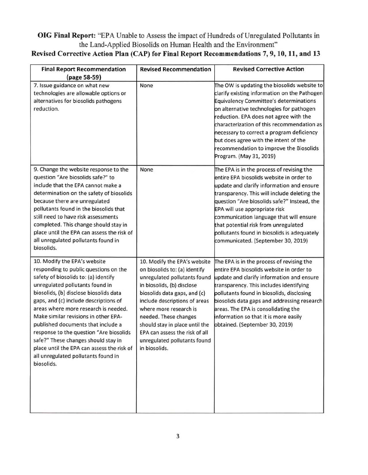## **OIG Final Report:** "EPA Unable to Assess the impact of Hundreds of Unregulated Pollutants in the Land-Applied Biosolids on Human Health and the Environment"

| <b>Final Report Recommendation</b><br>(page 58-59)                                                                                                                                                                                                                                                                                                                                                                                                                                                                                             | <b>Revised Recommendation</b>                                                                                                                                                                                                                                                                                                                                        | <b>Revised Corrective Action</b>                                                                                                                                                                                                                                                                                                                                                                                                           |
|------------------------------------------------------------------------------------------------------------------------------------------------------------------------------------------------------------------------------------------------------------------------------------------------------------------------------------------------------------------------------------------------------------------------------------------------------------------------------------------------------------------------------------------------|----------------------------------------------------------------------------------------------------------------------------------------------------------------------------------------------------------------------------------------------------------------------------------------------------------------------------------------------------------------------|--------------------------------------------------------------------------------------------------------------------------------------------------------------------------------------------------------------------------------------------------------------------------------------------------------------------------------------------------------------------------------------------------------------------------------------------|
| 7. Issue guidance on what new<br>technologies are allowable options or<br>alternatives for biosolids pathogens<br>reduction.                                                                                                                                                                                                                                                                                                                                                                                                                   | None                                                                                                                                                                                                                                                                                                                                                                 | The OW is updating the biosolids website to<br>clarify existing information on the Pathogen<br>Equivalency Committee's determinations<br>on alternative technologies for pathogen<br>reduction. EPA does not agree with the<br>characterization of this recommendation as<br>necessary to correct a program deficiency<br>but does agree with the intent of the<br>recommendation to improve the Biosolids<br>Program. (May 31, 2019)      |
| 9. Change the website response to the<br>question "Are biosolids safe?" to<br>include that the EPA cannot make a<br>determination on the safety of biosolids<br>because there are unregulated<br>pollutants found in the biosolids that<br>still need to have risk assessments<br>completed. This change should stay in<br>place until the EPA can assess the risk of<br>all unregulated pollutants found in<br>biosolids.                                                                                                                     | None                                                                                                                                                                                                                                                                                                                                                                 | The EPA is in the process of revising the<br>entire EPA biosolids website in order to<br>update and clarify information and ensure<br>transparency. This will include deleting the<br>question "Are biosolids safe?" Instead, the<br>EPA will use appropriate risk<br>communication language that will ensure<br>that potential risk from unregulated<br>pollutants found in biosolids is adequately<br>communicated. (September 30, 2019) |
| 10. Modify the EPA's website<br>responding to public questions on the<br>safety of biosolids to: (a) identify<br>unregulated pollutants found in<br>biosolids, (b) disclose biosolids data<br>gaps, and (c) include descriptions of<br>areas where more research is needed.<br>Make similar revisions in other EPA-<br>published documents that include a<br>response to the question "Are biosolids<br>safe?" These changes should stay in<br>place until the EPA can assess the risk of<br>all unregulated pollutants found in<br>biosolids. | 10. Modify the EPA's website<br>on biosolids to: (a) identify<br>unregulated pollutants found<br>in biosolids, (b) disclose<br>biosolids data gaps, and (c)<br>include descriptions of areas<br>where more research is<br>needed. These changes<br>should stay in place until the<br>EPA can assess the risk of all<br>unregulated pollutants found<br>in biosolids. | The EPA is in the process of revising the<br>entire EPA biosolids website in order to<br>update and clarify information and ensure<br>transparency. This includes identifying<br>pollutants found in biosolids, disclosing<br>piosolids data gaps and addressing research<br>areas. The EPA is consolidating the<br>information so that it is more easily<br>obtained. (September 30, 2019)                                                |

## **Revised Corrective Action Plan (CAP) for Final Report Recommendations 7, 9, 10, 11, and 13**